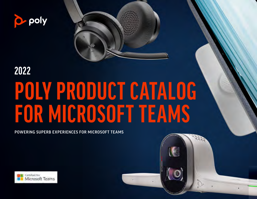



## **POLY PRODUCT CATALOG FOR MICROSOFT TEAMS 2022**

POWERING SUPERB EXPERIENCES FOR MICROSOFT TEAMS

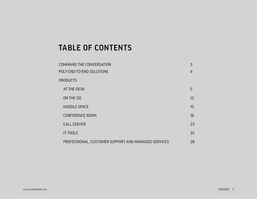#### <span id="page-1-0"></span>TABLE OF CONTENTS

| COMMAND THE CONVERSATION                            | 3  |
|-----------------------------------------------------|----|
| POLY END-TO-END SOLUTIONS                           | 4  |
| <b>PRODUCTS</b>                                     |    |
| AT THE DESK                                         | 5  |
| ON THE GO                                           | 12 |
| <b>HUDDLE SPACE</b>                                 | 15 |
| <b>CONFERENCE ROOM</b>                              | 18 |
| <b>CALL CENTER</b>                                  | 23 |
| <b>IT TOOLS</b>                                     | 25 |
| PROFESSIONAL, CUSTOMER SUPPORT AND MANAGED SERVICES | 28 |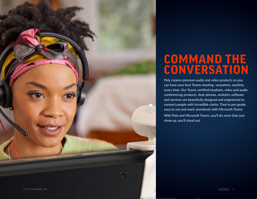<span id="page-2-0"></span>

## **COMMAND THE CONVERSATION**

Poly creates premium audio and video products so you can have your best Teams meeting—anywhere, anytime, every time. Our Teams certified headsets, video and audioconferencing products, desk phones, analytics software and services are beautifully designed and engineered to connect people with incredible clarity. They're pro-grade, easy to use and work seamlessly with Microsoft Teams.

With Poly and Microsoft Teams, you'll do more than just show up, you'll stand out.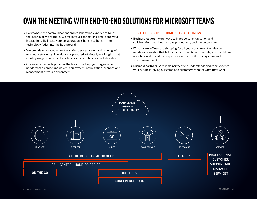### <span id="page-3-0"></span>**OWN THE MEETING WITH END-TO-END SOLUTIONS FOR MICROSOFT TEAMS**

- Everywhere the communications and collaboration experience touch the individual, we're there. We make your connections simple and your interactions lifelike, so your collaboration is human to human—the technology fades into the background.
- We provide vital management ensuring devices are up and running with maximum efficiency. Raw data is aggregated into intelligent insights that identify usage trends that benefit all aspects of business collaboration.
- Our services experts provides the breadth of help your organization needs from planning and design, deployment, optimization, support, and management of your environment.

#### OUR VALUE TO OUR CUSTOMERS AND PARTNERS

- **• Business leaders**—More ways to improve communication and collaboration, and thus improve productivity and the bottom line.
- **• IT managers**—One-stop shopping for all your communication device needs with insights that help anticipate maintenance needs, solve problems remotely, and reveal the ways users interact with their systems and work environment.
- **• Business partners**—A reliable partner who understands and complements your business, giving our combined customers more of what they want.

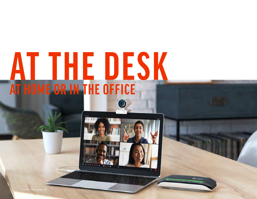## <span id="page-4-0"></span>**AT THE DESK AT HOME OR IN THE OFFICE**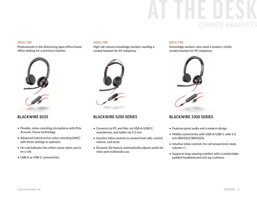## **AT THE DESK** CORDED HEADSETS

Professionals in the distracting open office/home office looking for a premium solution



#### BLACKWIRE 8225

- Flexible, noise-canceling microphone with Poly Acoustic Fence technology.
- Advanced hybrid active noise canceling (ANC) with three settings to optimize.
- On-call indicator lets others know when you're on a call.
- USB-A or USB-C connectivity.

#### IDEAL FOR IDEAL FOR IDEAL FOR

High call volume knowledge workers needing a corded headset for PC telephony



#### BLACKWIRE 5200 SERIES

- Connects to PC and Mac via USB-A/USB-C, smartphone, and tablet via 3.5 mm.
- Intuitive inline controls to answer/end calls, control volume, and mute.
- Dynamic EQ feature automatically adjusts audio for voice and multimedia use.

Knowledge workers who need a modern, stylish corded headset for PC telephony



#### BLACKWIRE 3300 SERIES

- Features great audio and a modern design.
- Mobile connectivity with USB-A/USB-C with 3.5 mm (BW3315/BW3325).
- Intuitive inline controls for call answer/end, mute, volume +/-.
- Supports long-wearing comfort with a comfortable, padded headband and soft ear cushions.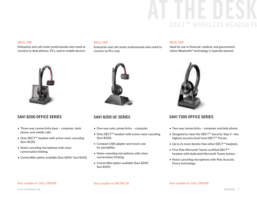## **AT THE DESK** DECT<sup>IM</sup> WIRELESS

Enterprise and call center professionals who need to connect to desk phones, PCs, and/or mobile devices



- Three-way connectivity base computer, desk phone, and mobile calls.
- Only DECT™ headset with active noise canceling (Savi 8220).
- Noise-canceling microphone with close conversation limiting.
- Convertible option available (Savi 8240/ Savi 8245).

#### IDEAL FOR IDEAL FOR IDEAL FOR

Enterprise and call center professionals who need to connect to PCs only



#### SAVI 8200 UC SERIES

- One-way only connectivity computer.
- Only DECT™ headset with active noise canceling (Savi 8220).
- Compact USB adapter and travel case for portability.
- Noise-canceling microphone with close conversation limiting.
- Convertible option available (Savi 8240/ Savi 8245).

Ideal for use in financial, medical, and government, where Bluetooth® technology is typically banned



#### SAVI 8200 OFFICE SERIES SAVI 8200 UC SERIES SAVI 7300 OFFICE SERIES

- Two-way connectivity computer and desk phone.
- Designed to meet the DECT™ Security Step C—the. highest security level from DECT™ Forum.
- Up to 2x more density than other DECT™ headsets.
- First Poly Microsoft Teams certified DECT™ headset with dedicated Microsoft Teams button.
- Noise-canceling microphone with Poly Acoustic Fence technology.

#### Also suitable for CALL CENTER Also suitable for ON THE GO Also suitable for CALL CENTER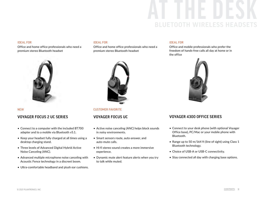## **AT THE DESK** BLUETOOTH WIRELESS

Office and home office professionals who need a premium stereo Bluetooth headset



#### VOYAGER FOCUS 2 UC SERIES VOYAGER FOCUS UC

- Connect to a computer with the included BT700 adapter and to a mobile via Bluetooth v5.1.
- Keep your headset fully charged at all times using a desktop charging stand.
- Three levels of Advanced Digital Hybrid Active Noise Canceling (ANC).
- Advanced multiple microphone noise canceling with Acoustic Fence technology in a discreet boom.
- Ultra-comfortable headband and plush ear cushions.

#### IDEAL FOR IDEAL FOR

Office and home office professionals who need a premium stereo Bluetooth headset



NEW CUSTOMER FAVORITE

- Active noise canceling (ANC) helps block sounds in noisy environments.
- Smart sensors route, auto-answer, and auto-mute calls.
- Hi-fi stereo sound creates a more immersive experience.
- Dynamic mute alert feature alerts when you try to talk while muted.

#### IDEAL FOR

Office and mobile professionals who prefer the freedom of hands-free calls all day at home or in the office



#### VOYAGER 4300 OFFICE SERIES

- Connect to your desk phone (with optional Voyager Office base), PC/Mac or your mobile phone with Bluetooth.
- Range up to 50 m/164 ft (line of sight) using Class 1 Bluetooth technology.
- Choice of USB-A or USB-C connectivity.
- Stay connected all day with charging base options.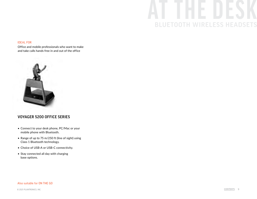## **AT THE DESK BLUETOOTH WIRELESS HEAD**

#### IDEAL FOR

Office and mobile professionals who want to make and take calls hands free in and out of the office



#### VOYAGER 5200 OFFICE SERIES

- Connect to your desk phone, PC/Mac or your mobile phone with Bluetooth.
- Range of up to 75 m/250 ft (line of sight) using Class 1 Bluetooth technology.
- Choice of USB-A or USB-C connectivity.
- Stay connected all day with charging base options.

#### Also suitable for ON THE GO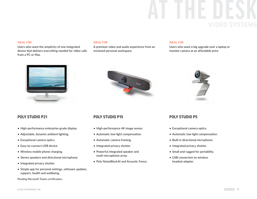## **AT THE DESK** VIDEO S

Users who want the simplicity of one integrated device that delivers everything needed for video calls from a PC or Mac



#### POLY STUDIO P21

- High-performance enterprise-grade display.
- Adjustable, dynamic ambient lighting.
- Exceptional camera optics.
- Easy-to-connect USB device.
- Wireless mobile phone charging.
- Stereo speakers and directional microphone
- Integrated privacy shutter.
- Simple app for personal settings, software updates, support, health and wellbeing.

Pending Microsoft Teams certification.

#### IDEAL FOR IDEAL FOR IDEAL FOR

A premium video and audio experience from an enclosed personal workspace

Users who want a big upgrade over a laptop or monitor camera at an affordable price





- High-performance 4K image sensor.
- Automatic low-light compensation.
- Automatic camera framing.
- Integrated privacy shutter.
- Powerful integrated speaker and multi-microphone array.
- Poly NoiseBlockAI and Acoustic Fence.



#### POLY STUDIO P5

- Exceptional camera optics.
- Automatic low-light compensation.
- Built-in directional microphone.
- Integrated privacy shutter.
- Small and rugged for portability.
- USB connection to wireless headset adapter.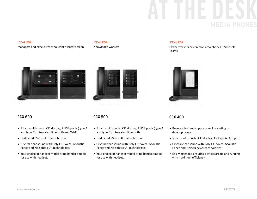# **AT THE DESK**

#### IDEAL FOR IDEAL FOR

#### Managers and executives who want a larger screen Knowledge workers

#### IDEAL FOR

Office workers or common area phones (Microsoft Teams)





#### CCX 600 CCX 500

- 7 inch multi-touch LCD display, 2 USB ports (type A and type C), integrated Bluetooth and Wi-Fi.
- Dedicated Microsoft Teams button.
- Crystal clear sound with Poly HD Voice, Acoustic Fence and NoiseBlockAI technologies
- Your choice of handset model or no handset model for use with headset.

- 5 inch multi-touch LCD display, 2 USB ports (type A and type C), integrated Bluetooth.
- Dedicated Microsoft Teams button.
- Crystal clear sound with Poly HD Voice, Acoustic Fence and NoiseBlockAI technologies
- Your choice of handset model or no handset model for use with headset.

#### CCX 400

- Reversable stand supports wall mounting or desktop usage.
- 5 inch multi-touch LCD display; 1 x type A USB port.
- Crystal clear sound with Poly HD Voice, Acoustic Fence and NoiseBlockAI technologies
- Easily managed ensuring devices are up and running with maximum efficiency.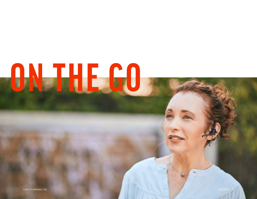# <span id="page-11-0"></span>**ON THE GO**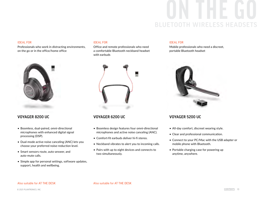## **ON THE GO BLUETOOTH WIRELESS HEAD**

Professionals who work in distracting environments, on the go or in the office/home office



- Boomless, dual-paired, omni-directional microphones with enhanced digital signal processing (DSP).
- Dual-mode active noise canceling (ANC) lets you choose your preferred noise-reduction level.
- Smart sensors route, auto-answer, and auto-mute calls.
- Simple app for personal settings, software updates, support, health and wellbeing.

#### IDEAL FOR IDEAL FOR IDEAL FOR

Office and remote professionals who need a comfortable Bluetooth neckband headset with earbuds



- Boomless design features four omni-directional microphones and active noise canceling (ANC).
- Comfort-fit earbuds deliver hi-fi stereo.
- Neckband vibrates to alert you to incoming calls.
- Pairs with up to eight devices and connects to two simultaneously.

Mobile professionals who need a discreet, portable Bluetooth headset



#### VOYAGER 8200 UC VOYAGER 6200 UC VOYAGER 5200 UC

- All-day comfort, discreet wearing style.
- Clear and professional communication.
- Connect to your PC/Mac with the USB adapter or mobile phone with Bluetooth.
- Portable charging case for powering up anytime, anywhere.

#### Also suitable for AT THE DESK Also suitable for AT THE DESK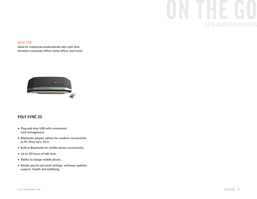## **ON THE GO** SPEAKERPHONES

#### IDEAL FOR

Ideal for enterprise professionals who split time between corporate office, home office, and travel



#### POLY SYNC 20

- Plug-and-play USB with convenient cord management.
- Bluetooth adapter option for cordless connectivity to PC (Poly Sync 20+).
- Built in Bluetooth for mobile phone connectivity.
- Up to 20 hours of talk time.
- Ability to charge mobile phone.
- Simple app for personal settings, software updates, support, health and wellbeing.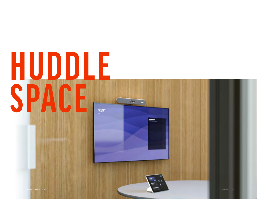## <span id="page-14-0"></span>**HUDDLE SPACE**  $9:39 -$

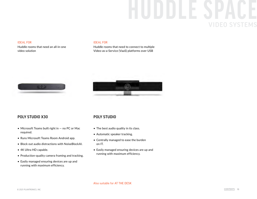# **HUDDLE SPACE**

#### IDEAL FOR IDEAL FOR

Huddle rooms that need an all-in-one video solution

Huddle rooms that need to connect to multiple Video-as-a-Service (VaaS) platforms over USB





#### POLY STUDIO X30 POLY STUDIO

- Microsoft Teams built right in no PC or Mac required.
- Runs Microsoft Teams Room Android app.
- Block out audio distractions with NoiseBlockAI.
- 4K Ultra HD capable.
- Production-quality camera framing and tracking.
- Easily managed ensuring devices are up and running with maximum efficiency.

- The best audio quality in its class.
- Automatic speaker tracking.
- Centrally managed to ease the burden on IT.
- Easily managed ensuring devices are up and running with maximum efficiency.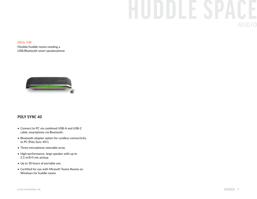# **HUDDLE SPACE**

#### IDEAL FOR

Flexible/huddle rooms needing a USB/Bluetooth smart speakerphone



#### POLY SYNC 40

- Connect to PC via combined USB-A and USB-C cable; smartphone via Bluetooth.
- Bluetooth adapter option for cordless connectivity to PC (Poly Sync 40+).
- Three-microphone steerable array.
- High-performance, large speaker with up to 2.5 m/8 ft mic pickup.
- Up to 30 hours of portable use.
- Certified for use with Mirosoft Teams Rooms on Windows for huddle rooms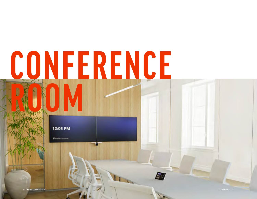# <span id="page-17-0"></span>**CONFERENCE ROOM**

12:05 PM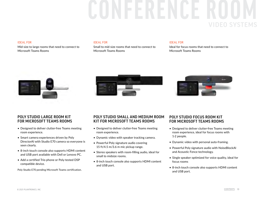## **CONFERENCE ROOM** VIDEO SYSTEMS

Mid-size to large rooms that need to connect to Microsoft Teams Rooms

#### IDEAL FOR IDEAL FOR IDEAL FOR

Small to mid-size rooms that need to connect to Microsoft Teams Rooms

Ideal for focus rooms that need to connect to Microsoft Teams Rooms







#### POLY STUDIO LARGE ROOM KIT FOR MICROSOFT TEAMS ROOMS

- Designed to deliver clutter-free Teams meeting room experience.
- Smart camera experiences driven by Poly DirectorAI with Studio E70 camera so everyone is seen clearly.
- 8-inch touch console also supports HDMI content and USB port available with Dell or Lenovo PC.
- Add a certified Trio phone or Poly-tested DSP compatible device.

Poly Studio E70 pending Microsoft Teams certification.

#### POLY STUDIO SMALL AND MEDIUM ROOM KIT FOR MICROSOFT TEAMS ROOMS

- Designed to deliver clutter-free Teams meeting room experience.
- Dynamic video with speaker tracking camera.
- Powerful Poly signature audio covering 15 ft/4.5 m/3.6 m mic pickup range.
- Stereo speakers with room-filling audio, ideal for small to midsize rooms.
- 8-inch touch console also supports HDMI content and USB port.

#### POLY STUDIO FOCUS ROOM KIT FOR MICROSOFT TEAMS ROOMS

- Designed to deliver clutter-free Teams meeting room experience, ideal for focus rooms with 1-2 people.
- Dynamic video with personal auto-framing.
- Powerful Poly signature audio with NoiseBlockAI and Acoustic Fence technology.
- Single speaker optimized for voice quality, ideal for focus rooms
- 8-inch touch console also supports HDMI content and USB port.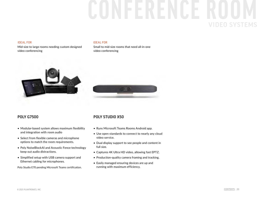# **CONFERENCE ROOM**

#### IDEAL FOR

Mid-size to large rooms needing custom designed video conferencing

#### IDEAL FOR

Small to mid-size rooms that need all-in-one video conferencing



#### POLY G7500

- Modular-based system allows maximum flexibility and integration with room audio
- Select from flexible cameras and microphone options to match the room requirements.
- Poly NoiseBlockAI and Acoustic Fence technology keep out audio distractions.
- Simplified setup with USB camera support and Ethernet cabling for microphones.

Poly Studio E70 pending Microsoft Teams certification.

#### POLY STUDIO X50

- Runs Microsoft Teams Rooms Android app.
- Use open standards to connect to nearly any cloud video service.
- Dual display support to see people and content in full size.
- Captures 4K Ultra HD video, allowing fast EPTZ.
- Production-quality camera framing and tracking.
- Easily managed ensuring devices are up and running with maximum efficiency.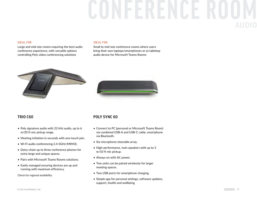## **CONFERENCE ROOM** AUDIO

#### IDEAL FOR

Large and mid-size rooms requiring the best audio conference experience, with versatile options controlling Poly video conferencing solutions

#### IDEAL FOR

Small to mid-size conference rooms where users bring their own laptops/smartphones or as tabletop audio device for Microsoft Teams Rooms





#### TRIO C60

- Poly signature audio with 22 kHz audio, up to 6 m/20 ft mic pickup range.
- Meeting initiation in seconds with one-touch join.
- Wi-Fi audio conferencing 2.4-5GHz (MIMO).
- Daisy-chain up to three conference phones for extra-large and unique spaces.
- Pairs with Microsoft Teams Rooms solutions.
- Easily managed ensuring devices are up and running with maximum efficiency.

Check for regional availability.

#### POLY SYNC 60

- Connect to PC (personal or Microsoft Teams Room) via combined USB-A and USB-C cable, smartphone via Bluetooth.
- Six-microphone steerable array.
- High-performance, twin speakers with up to 3 m/10 ft mic pickup.
- Always on with AC power.
- Two units can be paired wirelessly for larger meeting spaces.
- Two USB ports for smartphone charging.
- Simple app for personal settings, software updates, support, health and wellbeing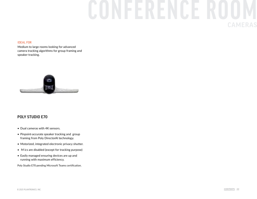## **CONFERENCE ROOM** CAMERAS

#### IDEAL FOR

Medium to large rooms looking for advanced camera tracking algorithms for group framing and speaker tracking.



#### POLY STUDIO E70

- Dual cameras with 4K sensors.
- Pinpoint-accurate speaker tracking and group framing from Poly DirectorAI technology.
- Motorized, integrated electronic privacy shutter.
- M ics are disabled (except for tracking purpose)
- Easily managed ensuring devices are up and running with maximum efficiency.

Poly Studio E70 pending Microsoft Teams certification.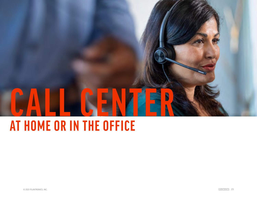<span id="page-22-0"></span>

## **AT HOME OR IN THE OFFICE**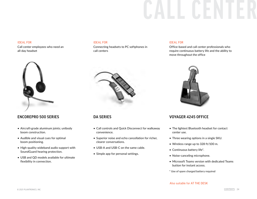#### IDEAL FOR

Call center employees who need an all-day headset



#### ENCOREPRO 500 SERIES

- Aircraft-grade aluminum joints; unibody boom construction.
- Audible and visual cues for optimal boom positioning.
- High-quality wideband audio support with SoundGuard hearing protection.
- USB and QD models available for ultimate flexibility in connection.

Connecting headsets to PC softphones in call centers



#### DA SERIES

- Call controls and Quick Disconnect for walkaway convenience.
- Superior noise and echo cancellation for richer, clearer conversations.
- USB-A and USB-C on the same cable.
- Simple app for personal settings.

#### IDEAL FOR IDEAL FOR

Office-based and call center professionals who require continuous battery life and the ability to move throughout the office



#### VOYAGER 4245 OFFICE

- The lightest Bluetooth headset for contact center use.
- Three wearing options in a single SKU.
- Wireless range up to 328 ft/100 m.
- Continuous battery life\*.
- Noise-canceling microphone.
- Microsoft Teams version with dedicated Teams button for instant access.
- \* Use of spare charged battery required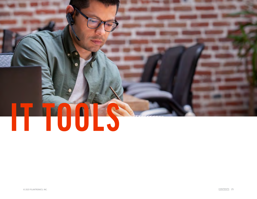# <span id="page-24-0"></span>**IT TOOLS**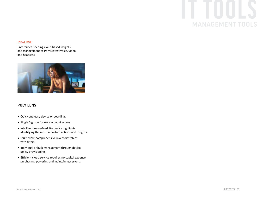## **IT TOOLS** MANAGEMENT TOOLS

#### IDEAL FOR

Enterprises needing cloud-based insights and management of Poly's latest voice, video, and headsets



#### POLY LENS

- Quick and easy device onboarding.
- Single Sign-on for easy account access.
- Intelligent news-feed like device highlights identifying the most important actions and insights.
- Multi-view, comprehensive inventory tables with filters.
- Individual or bulk management through device policy provisioning.
- Efficient cloud service requires no capital expense purchasing, powering and maintaining servers.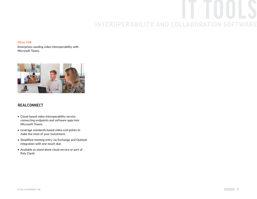## **IT TOOLS** INTEROPERABILITY AND COLLABORATION SOFTWARE

#### IDEAL FOR

Enterprises needing video interoperability with Microsoft Teams



#### REALCONNECT

- Cloud-based video interoperability service connecting endpoints and software apps into Microsoft Teams.
- Leverage standards-based video end points to make the most of your investment.
- Simplified meeting entry via Exchange and Outlook integration with one-touch dial.
- Available as stand alone cloud service or part of Poly Clariti.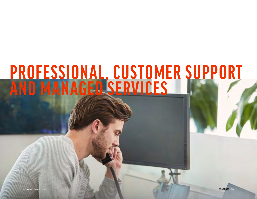## <span id="page-27-0"></span>**PROFESSIONAL, CUSTOMER SUPPORT AND MANAGED SERVICES**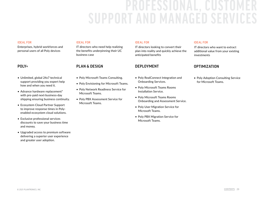## **PROFESSIONAL, CUSTOMER SUPPORT AND MANAG**

#### IDEAL FOR

Enterprises, hybrid workforces and personal users of all Poly devices

#### POLY+

- Unlimited, global 24x7 technical support providing you expert help how and when you need it.
- Advance hardware replacement\* with pre-paid next-business-day shipping ensuring business continuity.
- Ecosystem Cloud Partner Support to improve response times in Polyenabled ecosystem cloud solutions.
- Exclusive professional services discounts to save your business time and money.
- Upgraded access to premium software delivering a superior user experience and greater user adoption.

IT directors who need help realizing the benefits underpinning their UC business case

#### PLAN & DESIGN

- Poly Microsoft Teams Consulting.
- Poly Envisioning for Microsoft Teams.
- Poly Network Readiness Service for Microsoft Teams.
- Poly PBX Assessment Service for Microsoft Teams.

#### IDEAL FOR IDEAL FOR IDEAL FOR

IT directors looking to convert their plan into reality and quickly achieve the anticipated benefits

#### DEPLOYMENT

- Poly RealConnect Integration and Onboarding Services.
- Poly Microsoft Teams Rooms Installation Service.
- Poly Microsoft Teams Rooms Onboarding and Assessment Service.
- Poly User Migration Service for Microsoft Teams.
- Poly PBX Migration Service for Microsoft Teams.

IT directors who want to extract additional value from your existing investments

#### OPTIMIZATION

• Poly Adoption Consulting Service for Microsoft Teams.